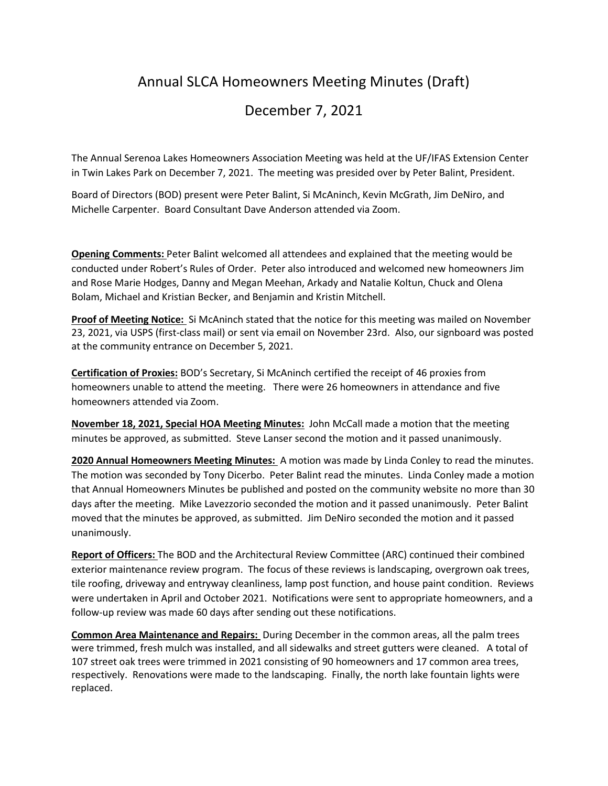## Annual SLCA Homeowners Meeting Minutes (Draft)

## December 7, 2021

The Annual Serenoa Lakes Homeowners Association Meeting was held at the UF/IFAS Extension Center in Twin Lakes Park on December 7, 2021. The meeting was presided over by Peter Balint, President.

Board of Directors (BOD) present were Peter Balint, Si McAninch, Kevin McGrath, Jim DeNiro, and Michelle Carpenter. Board Consultant Dave Anderson attended via Zoom.

**Opening Comments:** Peter Balint welcomed all attendees and explained that the meeting would be conducted under Robert's Rules of Order. Peter also introduced and welcomed new homeowners Jim and Rose Marie Hodges, Danny and Megan Meehan, Arkady and Natalie Koltun, Chuck and Olena Bolam, Michael and Kristian Becker, and Benjamin and Kristin Mitchell.

**Proof of Meeting Notice:** Si McAninch stated that the notice for this meeting was mailed on November 23, 2021, via USPS (first-class mail) or sent via email on November 23rd. Also, our signboard was posted at the community entrance on December 5, 2021.

**Certification of Proxies:** BOD's Secretary, Si McAninch certified the receipt of 46 proxies from homeowners unable to attend the meeting. There were 26 homeowners in attendance and five homeowners attended via Zoom.

**November 18, 2021, Special HOA Meeting Minutes:** John McCall made a motion that the meeting minutes be approved, as submitted. Steve Lanser second the motion and it passed unanimously.

**2020 Annual Homeowners Meeting Minutes:** A motion was made by Linda Conley to read the minutes. The motion was seconded by Tony Dicerbo. Peter Balint read the minutes. Linda Conley made a motion that Annual Homeowners Minutes be published and posted on the community website no more than 30 days after the meeting. Mike Lavezzorio seconded the motion and it passed unanimously. Peter Balint moved that the minutes be approved, as submitted. Jim DeNiro seconded the motion and it passed unanimously.

**Report of Officers:** The BOD and the Architectural Review Committee (ARC) continued their combined exterior maintenance review program. The focus of these reviews is landscaping, overgrown oak trees, tile roofing, driveway and entryway cleanliness, lamp post function, and house paint condition. Reviews were undertaken in April and October 2021. Notifications were sent to appropriate homeowners, and a follow-up review was made 60 days after sending out these notifications.

**Common Area Maintenance and Repairs:** During December in the common areas, all the palm trees were trimmed, fresh mulch was installed, and all sidewalks and street gutters were cleaned. A total of 107 street oak trees were trimmed in 2021 consisting of 90 homeowners and 17 common area trees, respectively. Renovations were made to the landscaping. Finally, the north lake fountain lights were replaced.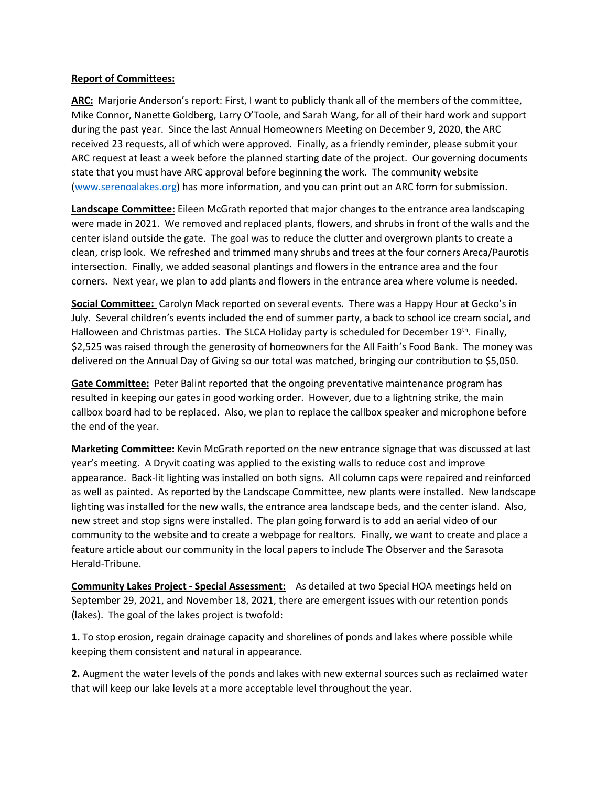## **Report of Committees:**

**ARC:** Marjorie Anderson's report: First, I want to publicly thank all of the members of the committee, Mike Connor, Nanette Goldberg, Larry O'Toole, and Sarah Wang, for all of their hard work and support during the past year. Since the last Annual Homeowners Meeting on December 9, 2020, the ARC received 23 requests, all of which were approved. Finally, as a friendly reminder, please submit your ARC request at least a week before the planned starting date of the project. Our governing documents state that you must have ARC approval before beginning the work. The community website [\(www.serenoalakes.org\)](http://www.serenoalakes.org/) has more information, and you can print out an ARC form for submission.

**Landscape Committee:** Eileen McGrath reported that major changes to the entrance area landscaping were made in 2021. We removed and replaced plants, flowers, and shrubs in front of the walls and the center island outside the gate. The goal was to reduce the clutter and overgrown plants to create a clean, crisp look. We refreshed and trimmed many shrubs and trees at the four corners Areca/Paurotis intersection. Finally, we added seasonal plantings and flowers in the entrance area and the four corners. Next year, we plan to add plants and flowers in the entrance area where volume is needed.

**Social Committee:** Carolyn Mack reported on several events. There was a Happy Hour at Gecko's in July. Several children's events included the end of summer party, a back to school ice cream social, and Halloween and Christmas parties. The SLCA Holiday party is scheduled for December 19<sup>th</sup>. Finally, \$2,525 was raised through the generosity of homeowners for the All Faith's Food Bank. The money was delivered on the Annual Day of Giving so our total was matched, bringing our contribution to \$5,050.

**Gate Committee:** Peter Balint reported that the ongoing preventative maintenance program has resulted in keeping our gates in good working order. However, due to a lightning strike, the main callbox board had to be replaced. Also, we plan to replace the callbox speaker and microphone before the end of the year.

**Marketing Committee:** Kevin McGrath reported on the new entrance signage that was discussed at last year's meeting. A Dryvit coating was applied to the existing walls to reduce cost and improve appearance. Back-lit lighting was installed on both signs. All column caps were repaired and reinforced as well as painted. As reported by the Landscape Committee, new plants were installed. New landscape lighting was installed for the new walls, the entrance area landscape beds, and the center island. Also, new street and stop signs were installed. The plan going forward is to add an aerial video of our community to the website and to create a webpage for realtors. Finally, we want to create and place a feature article about our community in the local papers to include The Observer and the Sarasota Herald-Tribune.

**Community Lakes Project - Special Assessment:** As detailed at two Special HOA meetings held on September 29, 2021, and November 18, 2021, there are emergent issues with our retention ponds (lakes). The goal of the lakes project is twofold:

**1.** To stop erosion, regain drainage capacity and shorelines of ponds and lakes where possible while keeping them consistent and natural in appearance.

**2.** Augment the water levels of the ponds and lakes with new external sources such as reclaimed water that will keep our lake levels at a more acceptable level throughout the year.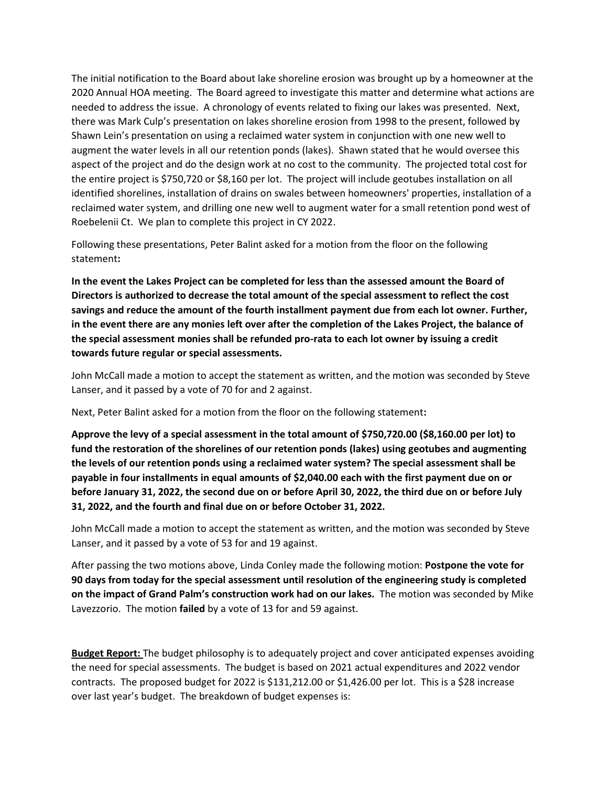The initial notification to the Board about lake shoreline erosion was brought up by a homeowner at the 2020 Annual HOA meeting. The Board agreed to investigate this matter and determine what actions are needed to address the issue. A chronology of events related to fixing our lakes was presented. Next, there was Mark Culp's presentation on lakes shoreline erosion from 1998 to the present, followed by Shawn Lein's presentation on using a reclaimed water system in conjunction with one new well to augment the water levels in all our retention ponds (lakes). Shawn stated that he would oversee this aspect of the project and do the design work at no cost to the community. The projected total cost for the entire project is \$750,720 or \$8,160 per lot. The project will include geotubes installation on all identified shorelines, installation of drains on swales between homeowners' properties, installation of a reclaimed water system, and drilling one new well to augment water for a small retention pond west of Roebelenii Ct. We plan to complete this project in CY 2022.

Following these presentations, Peter Balint asked for a motion from the floor on the following statement**:** 

**In the event the Lakes Project can be completed for less than the assessed amount the Board of Directors is authorized to decrease the total amount of the special assessment to reflect the cost savings and reduce the amount of the fourth installment payment due from each lot owner. Further, in the event there are any monies left over after the completion of the Lakes Project, the balance of the special assessment monies shall be refunded pro-rata to each lot owner by issuing a credit towards future regular or special assessments.** 

John McCall made a motion to accept the statement as written, and the motion was seconded by Steve Lanser, and it passed by a vote of 70 for and 2 against.

Next, Peter Balint asked for a motion from the floor on the following statement**:** 

**Approve the levy of a special assessment in the total amount of \$750,720.00 (\$8,160.00 per lot) to fund the restoration of the shorelines of our retention ponds (lakes) using geotubes and augmenting the levels of our retention ponds using a reclaimed water system? The special assessment shall be payable in four installments in equal amounts of \$2,040.00 each with the first payment due on or before January 31, 2022, the second due on or before April 30, 2022, the third due on or before July 31, 2022, and the fourth and final due on or before October 31, 2022.** 

John McCall made a motion to accept the statement as written, and the motion was seconded by Steve Lanser, and it passed by a vote of 53 for and 19 against.

After passing the two motions above, Linda Conley made the following motion: **Postpone the vote for 90 days from today for the special assessment until resolution of the engineering study is completed on the impact of Grand Palm's construction work had on our lakes.** The motion was seconded by Mike Lavezzorio. The motion **failed** by a vote of 13 for and 59 against.

**Budget Report:** The budget philosophy is to adequately project and cover anticipated expenses avoiding the need for special assessments. The budget is based on 2021 actual expenditures and 2022 vendor contracts. The proposed budget for 2022 is \$131,212.00 or \$1,426.00 per lot. This is a \$28 increase over last year's budget. The breakdown of budget expenses is: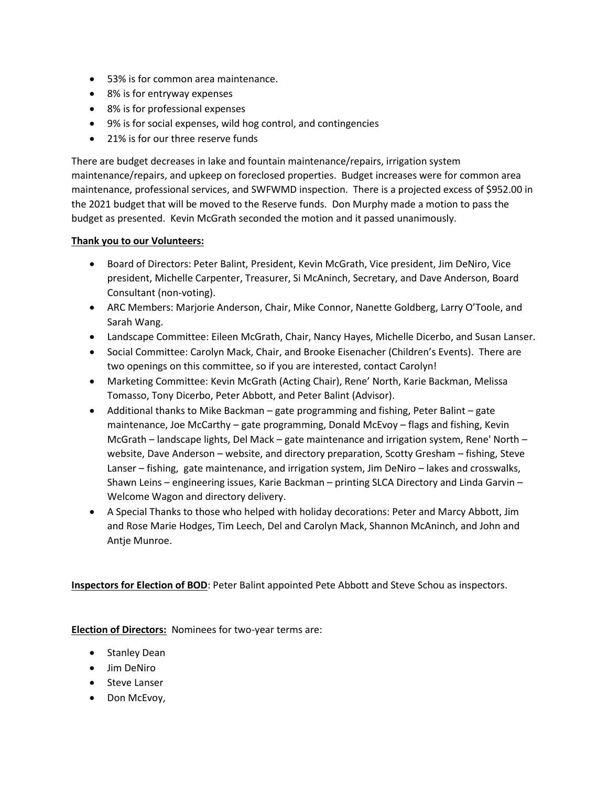- 53% is for common area maintenance.
- 8% is for entryway expenses
- 8% is for professional expenses
- 9% is for social expenses, wild hog control, and contingencies
- 21% is for our three reserve funds

There are budget decreases in lake and fountain maintenance/repairs, irrigation system maintenance/repairs, and upkeep on foreclosed properties. Budget increases were for common area maintenance, professional services, and SWFWMD inspection. There is a projected excess of \$952.00 in the 2021 budget that will be moved to the Reserve funds. Don Murphy made a motion to pass the budget as presented. Kevin McGrath seconded the motion and it passed unanimously.

## **Thank you to our Volunteers:**

- Board of Directors: Peter Balint, President, Kevin McGrath, Vice president, Jim DeNiro, Vice president, Michelle Carpenter, Treasurer, Si McAninch, Secretary, and Dave Anderson, Board Consultant (non-voting).
- ARC Members: Marjorie Anderson, Chair, Mike Connor, Nanette Goldberg, Larry O'Toole, and Sarah Wang.
- Landscape Committee: Eileen McGrath, Chair, Nancy Hayes, Michelle Dicerbo, and Susan Lanser.
- Social Committee: Carolyn Mack, Chair, and Brooke Eisenacher (Children's Events). There are two openings on this committee, so if you are interested, contact Carolyn!
- Marketing Committee: Kevin McGrath (Acting Chair), Rene' North, Karie Backman, Melissa Tomasso, Tony Dicerbo, Peter Abbott, and Peter Balint (Advisor).
- Additional thanks to Mike Backman gate programming and fishing, Peter Balint gate maintenance, Joe McCarthy – gate programming, Donald McEvoy – flags and fishing, Kevin McGrath – landscape lights, Del Mack – gate maintenance and irrigation system, Rene' North – website, Dave Anderson – website, and directory preparation, Scotty Gresham – fishing, Steve Lanser – fishing, gate maintenance, and irrigation system, Jim DeNiro – lakes and crosswalks, Shawn Leins – engineering issues, Karie Backman – printing SLCA Directory and Linda Garvin – Welcome Wagon and directory delivery.
- A Special Thanks to those who helped with holiday decorations: Peter and Marcy Abbott, Jim and Rose Marie Hodges, Tim Leech, Del and Carolyn Mack, Shannon McAninch, and John and Antje Munroe.

**Inspectors for Election of BOD**: Peter Balint appointed Pete Abbott and Steve Schou as inspectors.

**Election of Directors:** Nominees for two-year terms are:

- Stanley Dean
- Jim DeNiro
- Steve Lanser
- Don McEvoy,